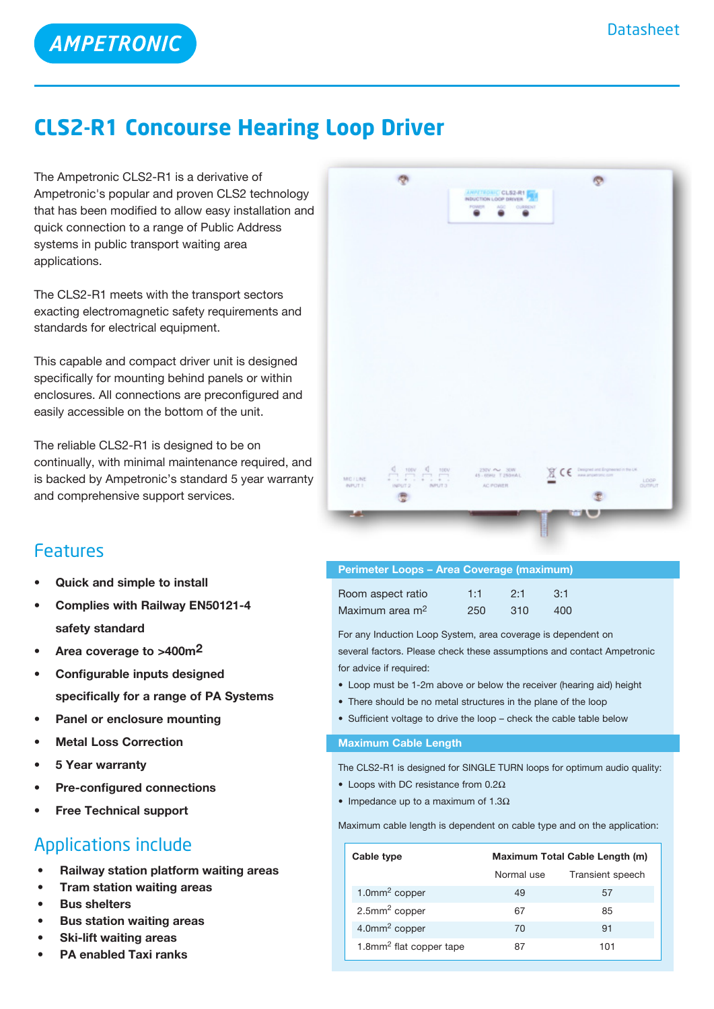**AMPETRONIC** 

## **CLS2-R1 Concourse Hearing Loop Driver**

The Ampetronic CLS2-R1 is a derivative of Ampetronic's popular and proven CLS2 technology that has been modified to allow easy installation and quick connection to a range of Public Address systems in public transport waiting area applications.

The CLS2-R1 meets with the transport sectors exacting electromagnetic safety requirements and standards for electrical equipment.

This capable and compact driver unit is designed specifically for mounting behind panels or within enclosures. All connections are preconfigured and easily accessible on the bottom of the unit.

The reliable CLS2-R1 is designed to be on continually, with minimal maintenance required, and is backed by Ampetronic's standard 5 year warranty and comprehensive support services.

### Features

- **• Quick and simple to install**
- **• Complies with Railway EN50121-4 safety standard**
- **• Area coverage to >400m2**
- **• Configurable inputs designed specifically for a range of PA Systems**
- **Panel or enclosure mounting**
- **Metal Loss Correction**
- **• 5 Year warranty**
- **Pre-configured** connections
- **Free Technical support**

## Applications include

- **Railway station platform waiting areas**
- **Tram station waiting areas**
- **Bus shelters**
- **Bus station waiting areas**
- **Ski-lift waiting areas**
- **PA enabled Taxi ranks**

|                                           | <b>JAPETROMIC CLS2-R1</b><br>INDUCTION LOOP DRIVER<br>FOWER AGO OURSENT |                                                                  |
|-------------------------------------------|-------------------------------------------------------------------------|------------------------------------------------------------------|
|                                           |                                                                         |                                                                  |
|                                           |                                                                         |                                                                  |
|                                           |                                                                         |                                                                  |
| MC/LINE<br>INPUT2 NPUT3<br><b>INPUT 1</b> | 230V ~ 30W<br>45 - 65Hz T 250HAL<br>AC POWER                            | $\mathbb{R}$ CE important important in the UK.<br>LOOP<br>OUTPUT |

| <b>Perimeter Loops - Area Coverage (maximum)</b> |     |     |     |
|--------------------------------------------------|-----|-----|-----|
| Room aspect ratio                                | 1:1 | 2.1 | 3:1 |
| Maximum area m <sup>2</sup>                      | 250 | 310 | 400 |

For any Induction Loop System, area coverage is dependent on several factors. Please check these assumptions and contact Ampetronic for advice if required:

- Loop must be 1-2m above or below the receiver (hearing aid) height
- There should be no metal structures in the plane of the loop
- Sufficient voltage to drive the loop check the cable table below

#### **Maximum Cable Length**

The CLS2-R1 is designed for SINGLE TURN loops for optimum audio quality:

- Loops with DC resistance from  $0.2\Omega$
- Impedance up to a maximum of  $1.3\Omega$

Maximum cable length is dependent on cable type and on the application:

| Cable type                          | Maximum Total Cable Length (m) |                  |  |
|-------------------------------------|--------------------------------|------------------|--|
|                                     | Normal use                     | Transient speech |  |
| $1.0$ mm <sup>2</sup> copper        | 49                             | 57               |  |
| $2.5$ mm <sup>2</sup> copper        | 67                             | 85               |  |
| $4.0$ mm <sup>2</sup> copper        | 70                             | 91               |  |
| 1.8mm <sup>2</sup> flat copper tape | 87                             | 101              |  |